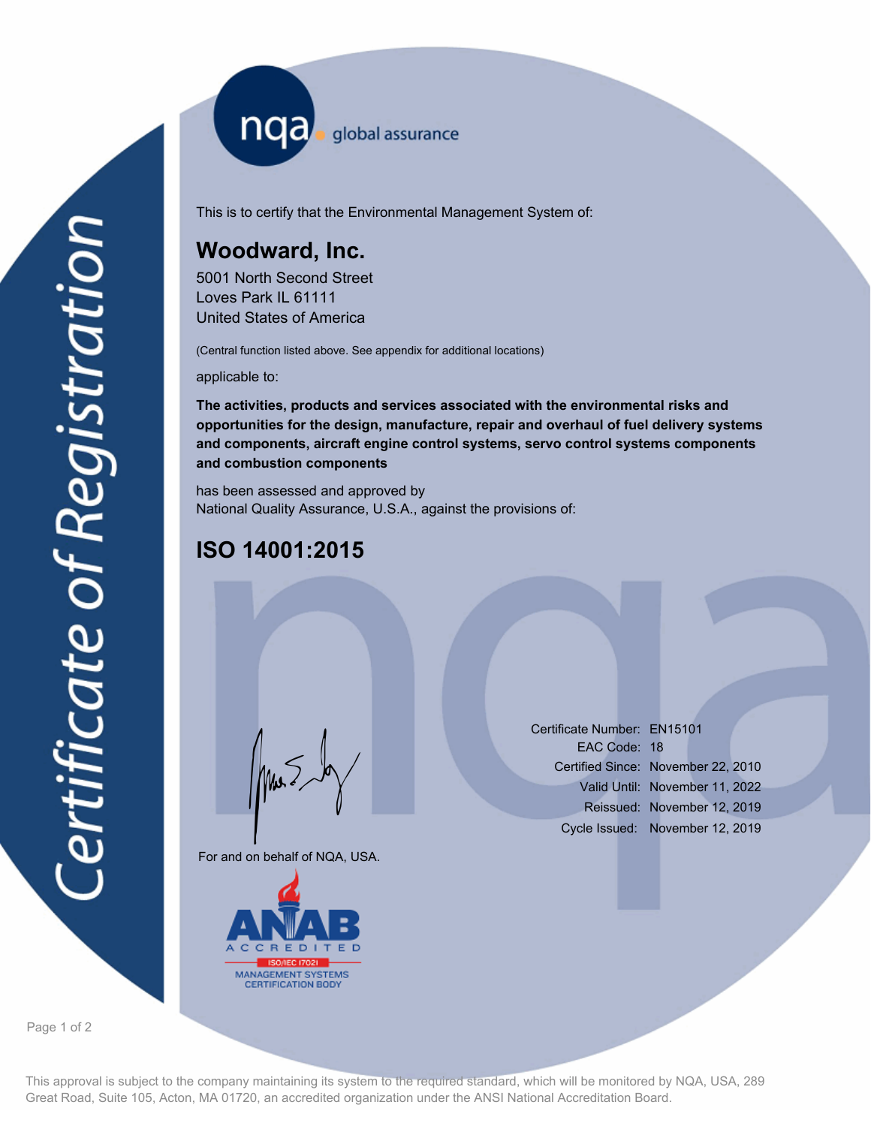nqa <sub>global assurance</sub>

This is to certify that the Environmental Management System of:

# **Woodward, Inc.**

5001 North Second Street Loves Park IL 61111 United States of America

(Central function listed above. See appendix for additional locations)

applicable to:

**The activities, products and services associated with the environmental risks and opportunities for the design, manufacture, repair and overhaul of fuel delivery systems and components, aircraft engine control systems, servo control systems components and combustion components**

has been assessed and approved by National Quality Assurance, U.S.A., against the provisions of:

# **ISO 14001:2015**

For and on behalf of NQA, USA.

Mus



Certificate Number: EN15101 EAC Code: 18 Certified Since: November 22, 2010 Valid Until: November 11, 2022 Reissued: November 12, 2019 Cycle Issued: November 12, 2019

Page 1 of 2

This approval is subject to the company maintaining its system to the required standard, which will be monitored by NQA, USA, 289 Great Road, Suite 105, Acton, MA 01720, an accredited organization under the ANSI National Accreditation Board.